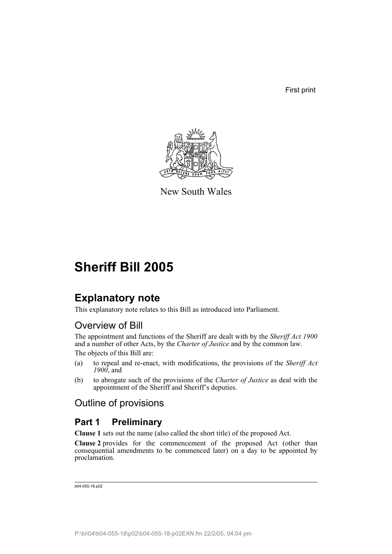First print



New South Wales

# **Sheriff Bill 2005**

# **Explanatory note**

This explanatory note relates to this Bill as introduced into Parliament.

# Overview of Bill

The appointment and functions of the Sheriff are dealt with by the *Sheriff Act 1900* and a number of other Acts, by the *Charter of Justice* and by the common law.

The objects of this Bill are:

- (a) to repeal and re-enact, with modifications, the provisions of the *Sheriff Act 1900*, and
- (b) to abrogate such of the provisions of the *Charter of Justice* as deal with the appointment of the Sheriff and Sheriff's deputies.

# Outline of provisions

# **Part 1 Preliminary**

**Clause 1** sets out the name (also called the short title) of the proposed Act.

**Clause 2** provides for the commencement of the proposed Act (other than consequential amendments to be commenced later) on a day to be appointed by proclamation.

```
b04-055-18.p02
```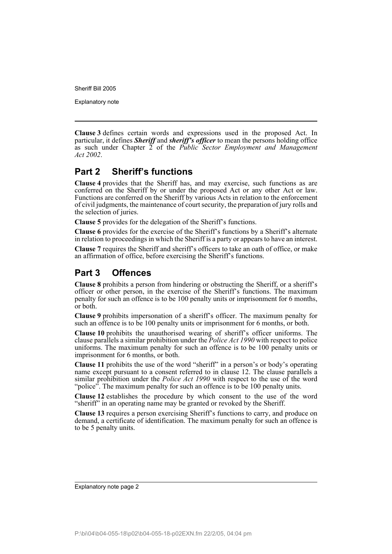Explanatory note

**Clause 3** defines certain words and expressions used in the proposed Act. In particular, it defines *Sheriff* and *sheriff's officer* to mean the persons holding office as such under Chapter 2 of the *Public Sector Employment and Management Act 2002*.

# **Part 2 Sheriff's functions**

**Clause 4** provides that the Sheriff has, and may exercise, such functions as are conferred on the Sheriff by or under the proposed Act or any other Act or law. Functions are conferred on the Sheriff by various Acts in relation to the enforcement of civil judgments, the maintenance of court security, the preparation of jury rolls and the selection of juries.

**Clause 5** provides for the delegation of the Sheriff's functions.

**Clause 6** provides for the exercise of the Sheriff's functions by a Sheriff's alternate in relation to proceedings in which the Sheriff is a party or appears to have an interest.

**Clause 7** requires the Sheriff and sheriff's officers to take an oath of office, or make an affirmation of office, before exercising the Sheriff's functions.

# **Part 3 Offences**

**Clause 8** prohibits a person from hindering or obstructing the Sheriff, or a sheriff's officer or other person, in the exercise of the Sheriff's functions. The maximum penalty for such an offence is to be 100 penalty units or imprisonment for 6 months, or both.

**Clause 9** prohibits impersonation of a sheriff's officer. The maximum penalty for such an offence is to be 100 penalty units or imprisonment for 6 months, or both.

**Clause 10** prohibits the unauthorised wearing of sheriff's officer uniforms. The clause parallels a similar prohibition under the *Police Act 1990* with respect to police uniforms. The maximum penalty for such an offence is to be 100 penalty units or imprisonment for 6 months, or both.

**Clause 11** prohibits the use of the word "sheriff" in a person's or body's operating name except pursuant to a consent referred to in clause 12. The clause parallels a similar prohibition under the *Police Act 1990* with respect to the use of the word "police". The maximum penalty for such an offence is to be 100 penalty units.

**Clause 12** establishes the procedure by which consent to the use of the word "sheriff" in an operating name may be granted or revoked by the Sheriff.

**Clause 13** requires a person exercising Sheriff's functions to carry, and produce on demand, a certificate of identification. The maximum penalty for such an offence is to be 5 penalty units.

Explanatory note page 2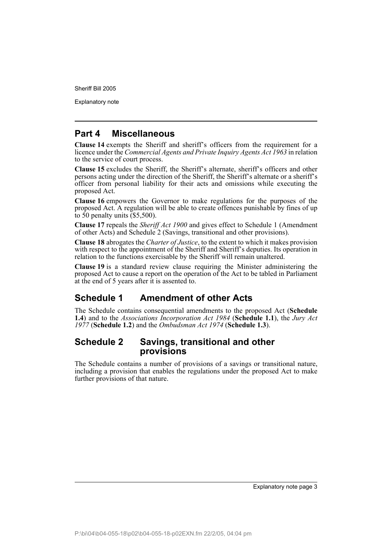Explanatory note

## **Part 4 Miscellaneous**

**Clause 14** exempts the Sheriff and sheriff's officers from the requirement for a licence under the *Commercial Agents and Private Inquiry Agents Act 1963* in relation to the service of court process.

**Clause 15** excludes the Sheriff, the Sheriff's alternate, sheriff's officers and other persons acting under the direction of the Sheriff, the Sheriff's alternate or a sheriff's officer from personal liability for their acts and omissions while executing the proposed Act.

**Clause 16** empowers the Governor to make regulations for the purposes of the proposed Act. A regulation will be able to create offences punishable by fines of up to 50 penalty units  $($ \$5,500).

**Clause 17** repeals the *Sheriff Act 1900* and gives effect to Schedule 1 (Amendment of other Acts) and Schedule 2 (Savings, transitional and other provisions).

**Clause 18** abrogates the *Charter of Justice*, to the extent to which it makes provision with respect to the appointment of the Sheriff and Sheriff's deputies. Its operation in relation to the functions exercisable by the Sheriff will remain unaltered.

**Clause 19** is a standard review clause requiring the Minister administering the proposed Act to cause a report on the operation of the Act to be tabled in Parliament at the end of 5 years after it is assented to.

# **Schedule 1 Amendment of other Acts**

The Schedule contains consequential amendments to the proposed Act (**Schedule 1.4**) and to the *Associations Incorporation Act 1984* (**Schedule 1.1**), the *Jury Act 1977* (**Schedule 1.2**) and the *Ombudsman Act 1974* (**Schedule 1.3**).

## **Schedule 2 Savings, transitional and other provisions**

The Schedule contains a number of provisions of a savings or transitional nature, including a provision that enables the regulations under the proposed Act to make further provisions of that nature.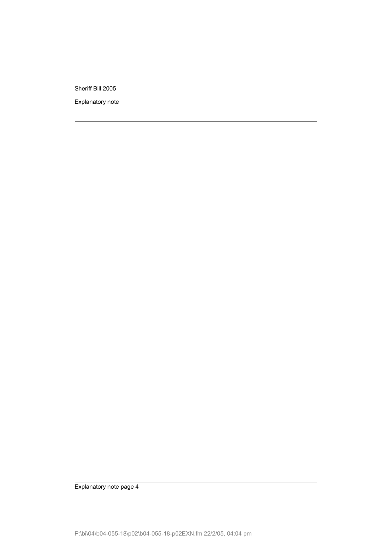Explanatory note

Explanatory note page 4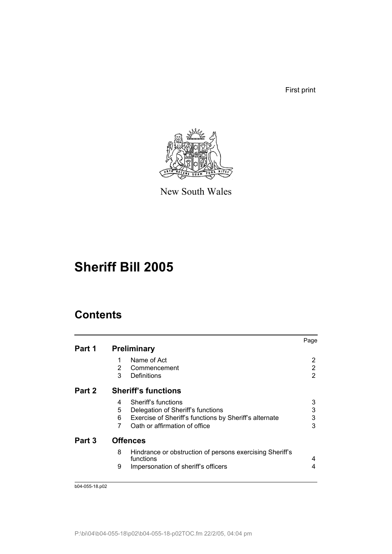First print



New South Wales

# **Sheriff Bill 2005**

# **Contents**

|        |                                                                                                                                                                    | Page             |
|--------|--------------------------------------------------------------------------------------------------------------------------------------------------------------------|------------------|
| Part 1 | <b>Preliminary</b>                                                                                                                                                 |                  |
|        | Name of Act<br>1<br>2<br>Commencement<br>3<br>Definitions                                                                                                          | 2<br>2<br>2      |
| Part 2 | <b>Sheriff's functions</b>                                                                                                                                         |                  |
|        | Sheriff's functions<br>4<br>5<br>Delegation of Sheriff's functions<br>Exercise of Sheriff's functions by Sheriff's alternate<br>6<br>Oath or affirmation of office | 3<br>3<br>3<br>3 |
| Part 3 | <b>Offences</b>                                                                                                                                                    |                  |
|        | Hindrance or obstruction of persons exercising Sheriff's<br>8<br>functions<br>9<br>Impersonation of sheriff's officers                                             | 4<br>4           |
|        |                                                                                                                                                                    |                  |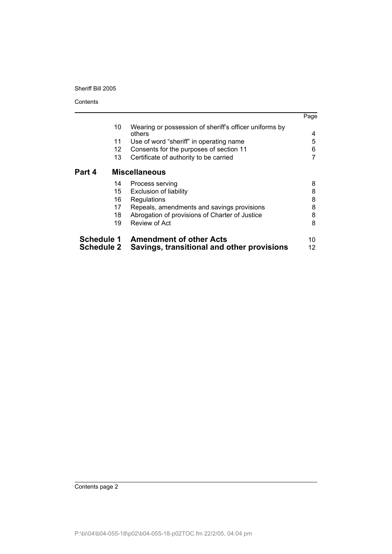**Contents** 

|                   |    |                                                        | Page |
|-------------------|----|--------------------------------------------------------|------|
|                   | 10 | Wearing or possession of sheriff's officer uniforms by |      |
|                   |    | others                                                 | 4    |
|                   | 11 | Use of word "sheriff" in operating name                | 5    |
|                   | 12 | Consents for the purposes of section 11                | 6    |
|                   | 13 | Certificate of authority to be carried                 |      |
| Part 4            |    | <b>Miscellaneous</b>                                   |      |
|                   | 14 | Process serving                                        | 8    |
|                   | 15 | <b>Exclusion of liability</b>                          | 8    |
|                   | 16 | Regulations                                            | 8    |
|                   | 17 | Repeals, amendments and savings provisions             | 8    |
|                   | 18 | Abrogation of provisions of Charter of Justice         | 8    |
|                   | 19 | Review of Act                                          | 8    |
|                   |    | Schedule 1 Amendment of other Acts                     | 10   |
| <b>Schedule 2</b> |    | Savings, transitional and other provisions             | 12   |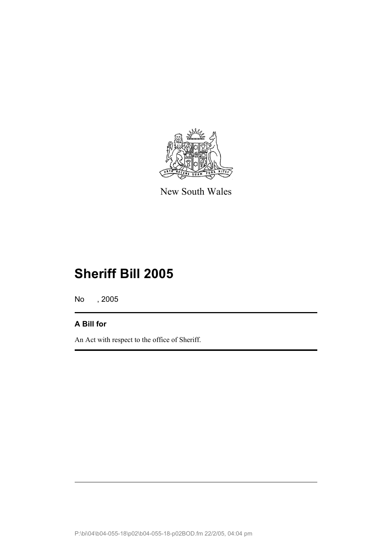

New South Wales

# **Sheriff Bill 2005**

No , 2005

# **A Bill for**

An Act with respect to the office of Sheriff.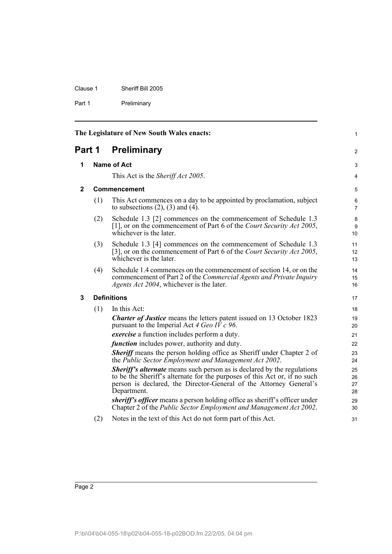Clause 1 Sheriff Bill 2005

Part 1 Preliminary

|              |     | The Legislature of New South Wales enacts:                                                                                                                                                                                                                                                                                                                                                                                                                                                                                                                                                                                                                                                                                                                                                                        | 1                                                                          |
|--------------|-----|-------------------------------------------------------------------------------------------------------------------------------------------------------------------------------------------------------------------------------------------------------------------------------------------------------------------------------------------------------------------------------------------------------------------------------------------------------------------------------------------------------------------------------------------------------------------------------------------------------------------------------------------------------------------------------------------------------------------------------------------------------------------------------------------------------------------|----------------------------------------------------------------------------|
| Part 1       |     | <b>Preliminary</b>                                                                                                                                                                                                                                                                                                                                                                                                                                                                                                                                                                                                                                                                                                                                                                                                | 2                                                                          |
| 1            |     | <b>Name of Act</b>                                                                                                                                                                                                                                                                                                                                                                                                                                                                                                                                                                                                                                                                                                                                                                                                | 3                                                                          |
|              |     | This Act is the <i>Sheriff Act 2005</i> .                                                                                                                                                                                                                                                                                                                                                                                                                                                                                                                                                                                                                                                                                                                                                                         | 4                                                                          |
| $\mathbf{2}$ |     | <b>Commencement</b>                                                                                                                                                                                                                                                                                                                                                                                                                                                                                                                                                                                                                                                                                                                                                                                               | 5                                                                          |
|              | (1) | This Act commences on a day to be appointed by proclamation, subject<br>to subsections $(2)$ , $(3)$ and $(4)$ .                                                                                                                                                                                                                                                                                                                                                                                                                                                                                                                                                                                                                                                                                                  | 6<br>$\overline{7}$                                                        |
|              | (2) | Schedule 1.3 [2] commences on the commencement of Schedule 1.3<br>[1], or on the commencement of Part 6 of the Court Security Act 2005,<br>whichever is the later.                                                                                                                                                                                                                                                                                                                                                                                                                                                                                                                                                                                                                                                | 8<br>9<br>10                                                               |
|              | (3) | Schedule 1.3 [4] commences on the commencement of Schedule 1.3<br>[3], or on the commencement of Part 6 of the Court Security Act 2005,<br>whichever is the later.                                                                                                                                                                                                                                                                                                                                                                                                                                                                                                                                                                                                                                                | 11<br>12<br>13                                                             |
|              | (4) | Schedule 1.4 commences on the commencement of section 14, or on the<br>commencement of Part 2 of the Commercial Agents and Private Inquiry<br>Agents Act 2004, whichever is the later.                                                                                                                                                                                                                                                                                                                                                                                                                                                                                                                                                                                                                            | 14<br>15<br>16                                                             |
| 3            |     | <b>Definitions</b>                                                                                                                                                                                                                                                                                                                                                                                                                                                                                                                                                                                                                                                                                                                                                                                                | 17                                                                         |
|              | (1) | In this Act:<br><b>Charter of Justice</b> means the letters patent issued on 13 October 1823<br>pursuant to the Imperial Act 4 Geo IV c 96.<br><i>exercise</i> a function includes perform a duty.<br><i>function</i> includes power, authority and duty.<br><b>Sheriff</b> means the person holding office as Sheriff under Chapter 2 of<br>the Public Sector Employment and Management Act 2002.<br><b>Sheriff's alternate</b> means such person as is declared by the regulations<br>to be the Sheriff's alternate for the purposes of this Act or, if no such<br>person is declared, the Director-General of the Attorney General's<br>Department.<br><i>sheriff's officer</i> means a person holding office as sheriff's officer under<br>Chapter 2 of the Public Sector Employment and Management Act 2002. | 18<br>19<br>20<br>21<br>22<br>23<br>24<br>25<br>26<br>27<br>28<br>29<br>30 |
|              | (2) | Notes in the text of this Act do not form part of this Act.                                                                                                                                                                                                                                                                                                                                                                                                                                                                                                                                                                                                                                                                                                                                                       | 31                                                                         |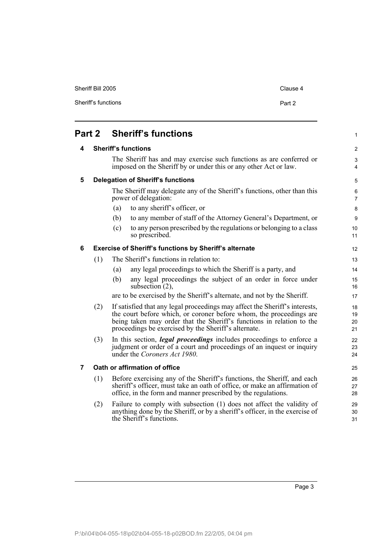| <b>Part 2</b> Sheriff's functions |          |
|-----------------------------------|----------|
| Sheriff's functions               | Part 2   |
| Sheriff Bill 2005                 | Clause 4 |

# **4 Sheriff's functions** The Sheriff has and may exercise such functions as are conferred or imposed on the Sheriff by or under this or any other Act or law. **5 Delegation of Sheriff's functions** The Sheriff may delegate any of the Sheriff's functions, other than this power of delegation: (a) to any sheriff's officer, or (b) to any member of staff of the Attorney General's Department, or (c) to any person prescribed by the regulations or belonging to a class so prescribed. **6 Exercise of Sheriff's functions by Sheriff's alternate** (1) The Sheriff's functions in relation to: (a) any legal proceedings to which the Sheriff is a party, and (b) any legal proceedings the subject of an order in force under

subsection  $(2)$ ,

are to be exercised by the Sheriff's alternate, and not by the Sheriff.

- (2) If satisfied that any legal proceedings may affect the Sheriff's interests, the court before which, or coroner before whom, the proceedings are being taken may order that the Sheriff's functions in relation to the proceedings be exercised by the Sheriff's alternate.
- (3) In this section, *legal proceedings* includes proceedings to enforce a judgment or order of a court and proceedings of an inquest or inquiry under the *Coroners Act 1980*.

## **7 Oath or affirmation of office**

- (1) Before exercising any of the Sheriff's functions, the Sheriff, and each sheriff's officer, must take an oath of office, or make an affirmation of office, in the form and manner prescribed by the regulations.
- (2) Failure to comply with subsection (1) does not affect the validity of anything done by the Sheriff, or by a sheriff's officer, in the exercise of the Sheriff's functions.

1

 $\mathfrak{p}$ 3 4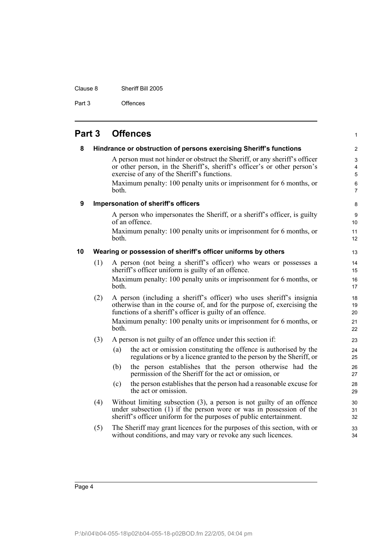Clause 8 Sheriff Bill 2005

Part 3 Offences

#### **Part 3 Offences 8 Hindrance or obstruction of persons exercising Sheriff's functions** A person must not hinder or obstruct the Sheriff, or any sheriff's officer or other person, in the Sheriff's, sheriff's officer's or other person's exercise of any of the Sheriff's functions. Maximum penalty: 100 penalty units or imprisonment for 6 months, or both. **9 Impersonation of sheriff's officers** A person who impersonates the Sheriff, or a sheriff's officer, is guilty of an offence. Maximum penalty: 100 penalty units or imprisonment for 6 months, or both. **10 Wearing or possession of sheriff's officer uniforms by others** (1) A person (not being a sheriff's officer) who wears or possesses a sheriff's officer uniform is guilty of an offence. Maximum penalty: 100 penalty units or imprisonment for 6 months, or both. (2) A person (including a sheriff's officer) who uses sheriff's insignia otherwise than in the course of, and for the purpose of, exercising the functions of a sheriff's officer is guilty of an offence. Maximum penalty: 100 penalty units or imprisonment for 6 months, or both. (3) A person is not guilty of an offence under this section if: (a) the act or omission constituting the offence is authorised by the regulations or by a licence granted to the person by the Sheriff, or (b) the person establishes that the person otherwise had the permission of the Sheriff for the act or omission, or (c) the person establishes that the person had a reasonable excuse for the act or omission. (4) Without limiting subsection (3), a person is not guilty of an offence under subsection (1) if the person wore or was in possession of the sheriff's officer uniform for the purposes of public entertainment. (5) The Sheriff may grant licences for the purposes of this section, with or without conditions, and may vary or revoke any such licences. 1  $\overline{2}$ 3 4 5 6 7 8 **9**  $1<sub>0</sub>$ 11 12 13 14 15 16 17 18 19 20 21 22 23 24 25 26 27 28 29 30 31 32 33 34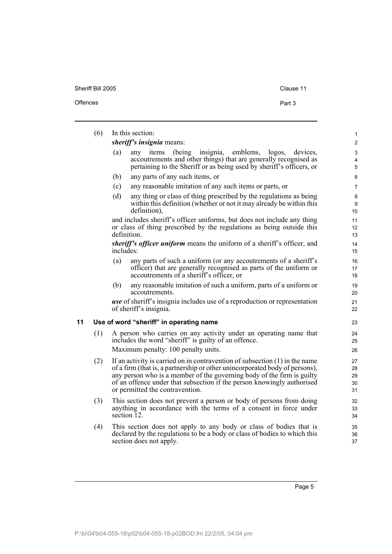### Sheriff Bill 2005 Clause 11

| Part 3 |
|--------|
|        |

|    | (6) |           | In this section:                                                                                                                                                                                                                                                                                                                                    | 1                          |
|----|-----|-----------|-----------------------------------------------------------------------------------------------------------------------------------------------------------------------------------------------------------------------------------------------------------------------------------------------------------------------------------------------------|----------------------------|
|    |     |           | <i>sheriff's insignia</i> means:                                                                                                                                                                                                                                                                                                                    | $\overline{\mathbf{c}}$    |
|    |     | (a)       | items<br>(being)<br>insignia, emblems,<br>logos,<br>devices.<br>any<br>accoutrements and other things) that are generally recognised as<br>pertaining to the Sheriff or as being used by sheriff's officers, or                                                                                                                                     | 3<br>4<br>5                |
|    |     | (b)       | any parts of any such items, or                                                                                                                                                                                                                                                                                                                     | 6                          |
|    |     | (c)       | any reasonable imitation of any such items or parts, or                                                                                                                                                                                                                                                                                             | 7                          |
|    |     | (d)       | any thing or class of thing prescribed by the regulations as being<br>within this definition (whether or not it may already be within this<br>definition),                                                                                                                                                                                          | 8<br>9<br>10               |
|    |     |           | and includes sheriff's officer uniforms, but does not include any thing<br>or class of thing prescribed by the regulations as being outside this<br>definition.                                                                                                                                                                                     | 11<br>12<br>13             |
|    |     | includes: | <i>sheriff's officer uniform</i> means the uniform of a sheriff's officer, and                                                                                                                                                                                                                                                                      | 14<br>15                   |
|    |     | (a)       | any parts of such a uniform (or any accoutrements of a sheriff's<br>officer) that are generally recognised as parts of the uniform or<br>accoutrements of a sheriff's officer, or                                                                                                                                                                   | 16<br>17<br>18             |
|    |     | (b)       | any reasonable imitation of such a uniform, parts of a uniform or<br>accoutrements.                                                                                                                                                                                                                                                                 | 19<br>20                   |
|    |     |           | <b>use</b> of sheriff's insignia includes use of a reproduction or representation<br>of sheriff's insignia.                                                                                                                                                                                                                                         | 21<br>22                   |
| 11 |     |           | Use of word "sheriff" in operating name                                                                                                                                                                                                                                                                                                             | 23                         |
|    | (1) |           | A person who carries on any activity under an operating name that<br>includes the word "sheriff" is guilty of an offence.<br>Maximum penalty: 100 penalty units.                                                                                                                                                                                    | 24<br>25<br>26             |
|    | (2) |           | If an activity is carried on in contravention of subsection $(1)$ in the name<br>of a firm (that is, a partnership or other unincorporated body of persons),<br>any person who is a member of the governing body of the firm is guilty<br>of an offence under that subsection if the person knowingly authorised<br>or permitted the contravention. | 27<br>28<br>29<br>30<br>31 |
|    | (3) |           | This section does not prevent a person or body of persons from doing<br>anything in accordance with the terms of a consent in force under<br>section 12.                                                                                                                                                                                            | 32<br>33<br>34             |
|    | (4) |           | This section does not apply to any body or class of bodies that is<br>declared by the regulations to be a body or class of bodies to which this                                                                                                                                                                                                     | 35<br>36                   |

Page 5

37

section does not apply.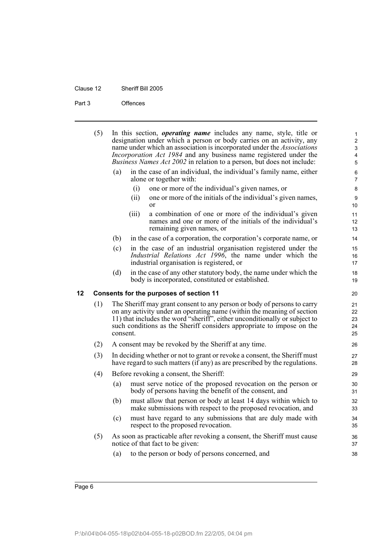## Clause 12 Sheriff Bill 2005

Part 3 Offences

|    | (5) |          |       | In this section, <i>operating name</i> includes any name, style, title or<br>designation under which a person or body carries on an activity, any<br>name under which an association is incorporated under the <i>Associations</i><br>Incorporation Act 1984 and any business name registered under the<br><i>Business Names Act 2002</i> in relation to a person, but does not include: | $\mathbf{1}$<br>$\overline{c}$<br>$\ensuremath{\mathsf{3}}$<br>4<br>5 |
|----|-----|----------|-------|------------------------------------------------------------------------------------------------------------------------------------------------------------------------------------------------------------------------------------------------------------------------------------------------------------------------------------------------------------------------------------------|-----------------------------------------------------------------------|
|    |     | (a)      |       | in the case of an individual, the individual's family name, either<br>alone or together with:                                                                                                                                                                                                                                                                                            | 6<br>$\overline{7}$                                                   |
|    |     |          | (i)   | one or more of the individual's given names, or                                                                                                                                                                                                                                                                                                                                          | 8                                                                     |
|    |     |          | (ii)  | one or more of the initials of the individual's given names,<br><sub>or</sub>                                                                                                                                                                                                                                                                                                            | 9<br>10                                                               |
|    |     |          | (iii) | a combination of one or more of the individual's given<br>names and one or more of the initials of the individual's<br>remaining given names, or                                                                                                                                                                                                                                         | 11<br>12<br>13                                                        |
|    |     | (b)      |       | in the case of a corporation, the corporation's corporate name, or                                                                                                                                                                                                                                                                                                                       | 14                                                                    |
|    |     | (c)      |       | in the case of an industrial organisation registered under the<br>Industrial Relations Act 1996, the name under which the<br>industrial organisation is registered, or                                                                                                                                                                                                                   | 15<br>16<br>17                                                        |
|    |     | (d)      |       | in the case of any other statutory body, the name under which the<br>body is incorporated, constituted or established.                                                                                                                                                                                                                                                                   | 18<br>19                                                              |
| 12 |     |          |       | <b>Consents for the purposes of section 11</b>                                                                                                                                                                                                                                                                                                                                           | 20                                                                    |
|    | (1) | consent. |       | The Sheriff may grant consent to any person or body of persons to carry<br>on any activity under an operating name (within the meaning of section<br>11) that includes the word "sheriff", either unconditionally or subject to<br>such conditions as the Sheriff considers appropriate to impose on the                                                                                 | 21<br>22<br>23<br>24<br>25                                            |
|    | (2) |          |       | A consent may be revoked by the Sheriff at any time.                                                                                                                                                                                                                                                                                                                                     | 26                                                                    |
|    | (3) |          |       | In deciding whether or not to grant or revoke a consent, the Sheriff must<br>have regard to such matters (if any) as are prescribed by the regulations.                                                                                                                                                                                                                                  | 27<br>28                                                              |
|    | (4) |          |       | Before revoking a consent, the Sheriff:                                                                                                                                                                                                                                                                                                                                                  | 29                                                                    |
|    |     | (a)      |       | must serve notice of the proposed revocation on the person or<br>body of persons having the benefit of the consent, and                                                                                                                                                                                                                                                                  | 30<br>31                                                              |
|    |     | (b)      |       | must allow that person or body at least 14 days within which to<br>make submissions with respect to the proposed revocation, and                                                                                                                                                                                                                                                         | 32<br>33                                                              |
|    |     | (c)      |       | must have regard to any submissions that are duly made with<br>respect to the proposed revocation.                                                                                                                                                                                                                                                                                       | 34<br>35                                                              |
|    | (5) |          |       | As soon as practicable after revoking a consent, the Sheriff must cause<br>notice of that fact to be given:                                                                                                                                                                                                                                                                              | 36<br>37                                                              |
|    |     | (a)      |       | to the person or body of persons concerned, and                                                                                                                                                                                                                                                                                                                                          | 38                                                                    |
|    |     |          |       |                                                                                                                                                                                                                                                                                                                                                                                          |                                                                       |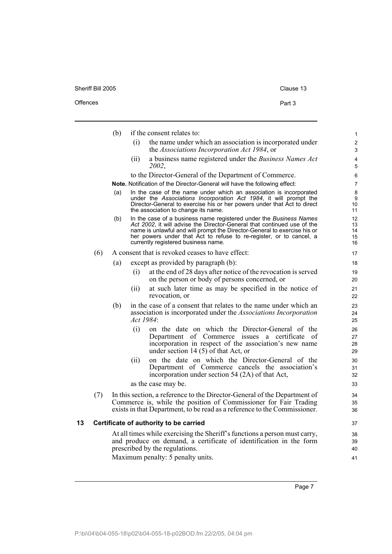#### Sheriff Bill 2005 Clause 13

|     | (b) |      | if the consent relates to:                                                                                                                                                                                                                                                                                                              | 1                               |
|-----|-----|------|-----------------------------------------------------------------------------------------------------------------------------------------------------------------------------------------------------------------------------------------------------------------------------------------------------------------------------------------|---------------------------------|
|     |     | (i)  | the name under which an association is incorporated under<br>the Associations Incorporation Act 1984, or                                                                                                                                                                                                                                | $\boldsymbol{2}$<br>$\mathsf 3$ |
|     |     | (ii) | a business name registered under the Business Names Act<br>2002,                                                                                                                                                                                                                                                                        | $\overline{\mathbf{4}}$<br>5    |
|     |     |      | to the Director-General of the Department of Commerce.                                                                                                                                                                                                                                                                                  | 6                               |
|     |     |      | Note. Notification of the Director-General will have the following effect:                                                                                                                                                                                                                                                              | $\overline{7}$                  |
|     | (a) |      | In the case of the name under which an association is incorporated<br>under the Associations Incorporation Act 1984, it will prompt the<br>Director-General to exercise his or her powers under that Act to direct<br>the association to change its name.                                                                               | 8<br>9<br>10<br>11              |
|     | (b) |      | In the case of a business name registered under the Business Names<br>Act 2002, it will advise the Director-General that continued use of the<br>name is unlawful and will prompt the Director-General to exercise his or<br>her powers under that Act to refuse to re-register, or to cancel, a<br>currently registered business name. | 12<br>13<br>14<br>15<br>16      |
| (6) |     |      | A consent that is revoked ceases to have effect:                                                                                                                                                                                                                                                                                        | 17                              |
|     | (a) |      | except as provided by paragraph (b):                                                                                                                                                                                                                                                                                                    | 18                              |
|     |     | (i)  | at the end of 28 days after notice of the revocation is served<br>on the person or body of persons concerned, or                                                                                                                                                                                                                        | 19<br>20                        |
|     |     | (ii) | at such later time as may be specified in the notice of<br>revocation, or                                                                                                                                                                                                                                                               | 21<br>22                        |
|     | (b) |      | in the case of a consent that relates to the name under which an<br>association is incorporated under the Associations Incorporation<br>Act 1984:                                                                                                                                                                                       | 23<br>24<br>25                  |
|     |     | (i)  | on the date on which the Director-General of the<br>Department of Commerce issues a certificate<br>of<br>incorporation in respect of the association's new name<br>under section 14 $(5)$ of that Act, or                                                                                                                               | 26<br>27<br>28<br>29            |
|     |     | (ii) | on the date on which the Director-General of the<br>Department of Commerce cancels the association's<br>incorporation under section 54 (2A) of that Act,                                                                                                                                                                                | 30<br>31<br>32                  |
|     |     |      | as the case may be.                                                                                                                                                                                                                                                                                                                     | 33                              |
| (7) |     |      | In this section, a reference to the Director-General of the Department of                                                                                                                                                                                                                                                               | 34                              |

#### **13 Certificate of authority to be carried**

At all times while exercising the Sheriff's functions a person must carry, and produce on demand, a certificate of identification in the form prescribed by the regulations.

Commerce is, while the position of Commissioner for Fair Trading exists in that Department, to be read as a reference to the Commissioner.

Maximum penalty: 5 penalty units.

Page 7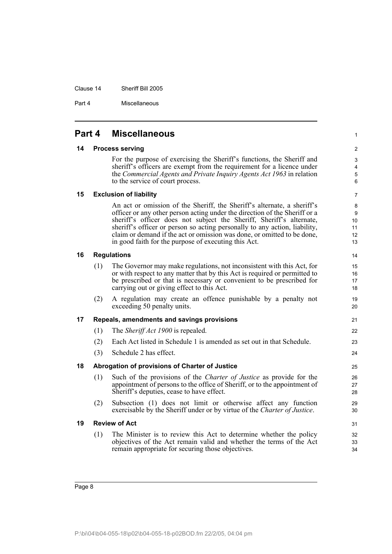Clause 14 Sheriff Bill 2005

Part 4 Miscellaneous

## **Part 4 Miscellaneous**

#### **14 Process serving**

**15 Exclusion of liability**

For the purpose of exercising the Sheriff's functions, the Sheriff and sheriff's officers are exempt from the requirement for a licence under the *Commercial Agents and Private Inquiry Agents Act 1963* in relation to the service of court process.

6 7

1

#### An act or omission of the Sheriff, the Sheriff's alternate, a sheriff's officer or any other person acting under the direction of the Sheriff or a sheriff's officer does not subject the Sheriff, Sheriff's alternate, sheriff's officer or person so acting personally to any action, liability,

in good faith for the purpose of executing this Act.

#### **16 Regulations**

|     | .                                                                                                                                                                                                                                                                           |
|-----|-----------------------------------------------------------------------------------------------------------------------------------------------------------------------------------------------------------------------------------------------------------------------------|
| (1) | The Governor may make regulations, not inconsistent with this Act, for<br>or with respect to any matter that by this Act is required or permitted to<br>be prescribed or that is necessary or convenient to be prescribed for<br>carrying out or giving effect to this Act. |
|     | $(2)$ A requision move greate an effection numichable by a negative not                                                                                                                                                                                                     |

claim or demand if the act or omission was done, or omitted to be done,

(2) A regulation may create an offence punishable by a penalty not exceeding 50 penalty units.

#### **17 Repeals, amendments and savings provisions**

- (1) The *Sheriff Act 1900* is repealed.
- (2) Each Act listed in Schedule 1 is amended as set out in that Schedule.
- (3) Schedule 2 has effect.

#### **18 Abrogation of provisions of Charter of Justice**

- (1) Such of the provisions of the *Charter of Justice* as provide for the appointment of persons to the office of Sheriff, or to the appointment of Sheriff's deputies, cease to have effect.
- (2) Subsection (1) does not limit or otherwise affect any function exercisable by the Sheriff under or by virtue of the *Charter of Justice*.

#### **19 Review of Act**

(1) The Minister is to review this Act to determine whether the policy objectives of the Act remain valid and whether the terms of the Act remain appropriate for securing those objectives.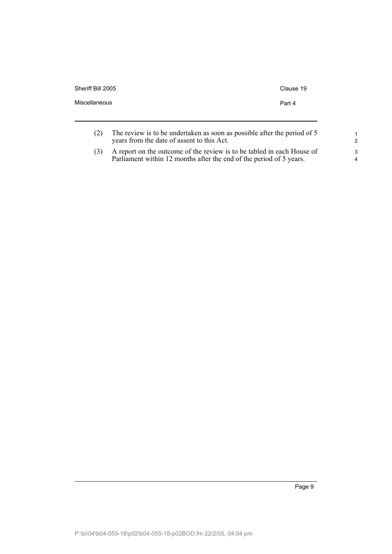| Sheriff Bill 2005    |                                                                          | Clause 19 |
|----------------------|--------------------------------------------------------------------------|-----------|
| <b>Miscellaneous</b> |                                                                          | Part 4    |
| (2)                  | The review is to be undertaken as soon as possible after the period of 5 |           |

(3) A report on the outcome of the review is to be tabled in each House of Parliament within 12 months after the end of the period of 5 years.

years from the date of assent to this Act.

Page 9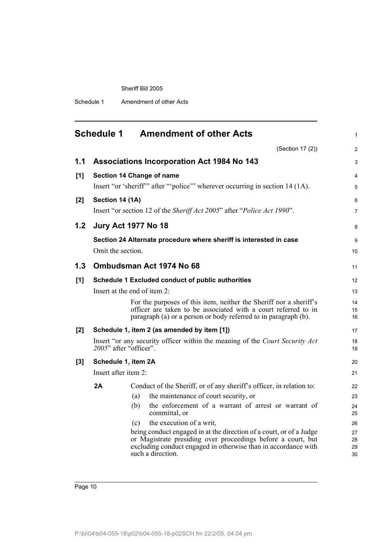Schedule 1 Amendment of other Acts

|       | <b>Schedule 1</b>      | <b>Amendment of other Acts</b>                                                                                                                                                                                                                                                                                                                                                                                                                                        | $\mathbf{1}$                                       |
|-------|------------------------|-----------------------------------------------------------------------------------------------------------------------------------------------------------------------------------------------------------------------------------------------------------------------------------------------------------------------------------------------------------------------------------------------------------------------------------------------------------------------|----------------------------------------------------|
|       |                        | (Section 17 $(2)$ )                                                                                                                                                                                                                                                                                                                                                                                                                                                   | 2                                                  |
| 1.1   |                        | <b>Associations Incorporation Act 1984 No 143</b>                                                                                                                                                                                                                                                                                                                                                                                                                     | 3                                                  |
| [1]   |                        | Section 14 Change of name<br>Insert "or 'sheriff" after ""police" wherever occurring in section 14 (1A).                                                                                                                                                                                                                                                                                                                                                              | 4<br>5                                             |
| [2]   | Section 14 (1A)        | Insert "or section 12 of the Sheriff Act 2005" after "Police Act 1990".                                                                                                                                                                                                                                                                                                                                                                                               | 6<br>7                                             |
| 1.2   |                        | <b>Jury Act 1977 No 18</b>                                                                                                                                                                                                                                                                                                                                                                                                                                            | 8                                                  |
|       | Omit the section.      | Section 24 Alternate procedure where sheriff is interested in case                                                                                                                                                                                                                                                                                                                                                                                                    | 9<br>10                                            |
| 1.3   |                        | Ombudsman Act 1974 No 68                                                                                                                                                                                                                                                                                                                                                                                                                                              | 11                                                 |
| [1]   |                        | <b>Schedule 1 Excluded conduct of public authorities</b><br>Insert at the end of item 2:<br>For the purposes of this item, neither the Sheriff nor a sheriff's<br>officer are taken to be associated with a court referred to in                                                                                                                                                                                                                                      | 12<br>13<br>14<br>15                               |
|       |                        | paragraph (a) or a person or body referred to in paragraph (b).                                                                                                                                                                                                                                                                                                                                                                                                       | 16                                                 |
| [2]   | 2005" after "officer". | Schedule 1, item 2 (as amended by item [1])<br>Insert "or any security officer within the meaning of the Court Security Act                                                                                                                                                                                                                                                                                                                                           | 17<br>18<br>19                                     |
| $[3]$ | Schedule 1, item 2A    |                                                                                                                                                                                                                                                                                                                                                                                                                                                                       | 20                                                 |
|       | Insert after item 2:   |                                                                                                                                                                                                                                                                                                                                                                                                                                                                       | 21                                                 |
|       | 2A                     | Conduct of the Sheriff, or of any sheriff's officer, in relation to:<br>the maintenance of court security, or<br>(a)<br>the enforcement of a warrant of arrest or warrant of<br>(b)<br>committal, or<br>the execution of a writ,<br>(c)<br>being conduct engaged in at the direction of a court, or of a Judge<br>or Magistrate presiding over proceedings before a court, but<br>excluding conduct engaged in otherwise than in accordance with<br>such a direction. | 22<br>23<br>24<br>25<br>26<br>27<br>28<br>29<br>30 |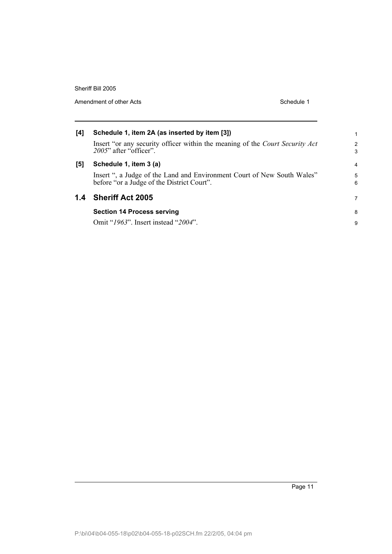Amendment of other Acts Schedule 1

| [4]           | Schedule 1, item 2A (as inserted by item [3])                                                                         | 1      |
|---------------|-----------------------------------------------------------------------------------------------------------------------|--------|
|               | Insert "or any security officer within the meaning of the <i>Court Security Act</i><br>2005" after "officer".         | 2<br>3 |
| [5]           | Schedule 1, item 3 (a)                                                                                                | 4      |
|               | Insert ", a Judge of the Land and Environment Court of New South Wales"<br>before "or a Judge of the District Court". | 5<br>6 |
| $1.4^{\circ}$ | <b>Sheriff Act 2005</b>                                                                                               | 7      |
|               | <b>Section 14 Process serving</b>                                                                                     | 8      |
|               | Omit "1963". Insert instead "2004".                                                                                   | 9      |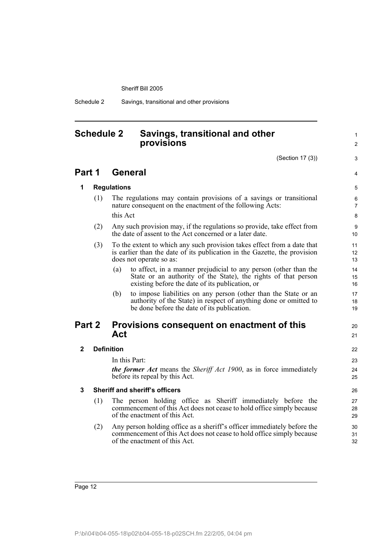Schedule 2 Savings, transitional and other provisions

# **Schedule 2 Savings, transitional and other provisions**

(Section 17 (3))

1 2

3

# **Part 1 General**

| Part 1       |                                                                                                                     | General                                                                                                                                                                         |                                                                                                                                                                                       | $\overline{4}$      |
|--------------|---------------------------------------------------------------------------------------------------------------------|---------------------------------------------------------------------------------------------------------------------------------------------------------------------------------|---------------------------------------------------------------------------------------------------------------------------------------------------------------------------------------|---------------------|
| 1            | <b>Regulations</b>                                                                                                  |                                                                                                                                                                                 | $\overline{5}$                                                                                                                                                                        |                     |
|              | (1)                                                                                                                 |                                                                                                                                                                                 | The regulations may contain provisions of a savings or transitional<br>nature consequent on the enactment of the following Acts:                                                      | 6<br>$\overline{7}$ |
|              |                                                                                                                     | this Act                                                                                                                                                                        |                                                                                                                                                                                       | 8                   |
|              | (2)                                                                                                                 | Any such provision may, if the regulations so provide, take effect from<br>the date of assent to the Act concerned or a later date.                                             |                                                                                                                                                                                       | 9<br>10             |
|              | (3)                                                                                                                 | To the extent to which any such provision takes effect from a date that<br>is earlier than the date of its publication in the Gazette, the provision<br>does not operate so as: |                                                                                                                                                                                       | 11<br>12<br>13      |
|              |                                                                                                                     | (a)                                                                                                                                                                             | to affect, in a manner prejudicial to any person (other than the<br>State or an authority of the State), the rights of that person<br>existing before the date of its publication, or | 14<br>15<br>16      |
|              |                                                                                                                     | (b)                                                                                                                                                                             | to impose liabilities on any person (other than the State or an<br>authority of the State) in respect of anything done or omitted to<br>be done before the date of its publication.   | 17<br>18<br>19      |
| Part 2       |                                                                                                                     | Provisions consequent on enactment of this<br>Act                                                                                                                               |                                                                                                                                                                                       | 20<br>21            |
| $\mathbf{2}$ | <b>Definition</b>                                                                                                   |                                                                                                                                                                                 | 22                                                                                                                                                                                    |                     |
|              |                                                                                                                     |                                                                                                                                                                                 | In this Part:                                                                                                                                                                         | 23                  |
|              | <b>the former Act</b> means the <i>Sheriff Act 1900</i> , as in force immediately<br>before its repeal by this Act. |                                                                                                                                                                                 | 24<br>25                                                                                                                                                                              |                     |
| 3            | <b>Sheriff and sheriff's officers</b>                                                                               |                                                                                                                                                                                 | 26                                                                                                                                                                                    |                     |
|              |                                                                                                                     |                                                                                                                                                                                 |                                                                                                                                                                                       |                     |

- (1) The person holding office as Sheriff immediately before the commencement of this Act does not cease to hold office simply because of the enactment of this Act.
- (2) Any person holding office as a sheriff's officer immediately before the commencement of this Act does not cease to hold office simply because of the enactment of this Act.